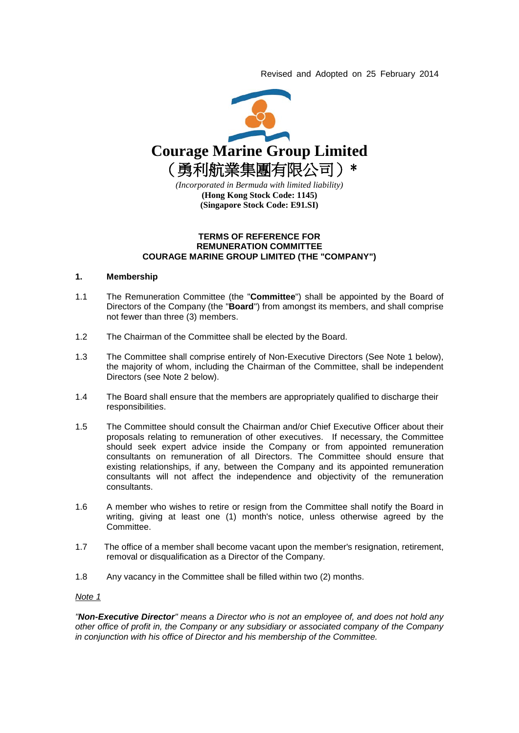Revised and Adopted on 25 February 2014



### **TERMS OF REFERENCE FOR REMUNERATION COMMITTEE COURAGE MARINE GROUP LIMITED (THE "COMPANY")**

### **1. Membership**

- 1.1 The Remuneration Committee (the "**Committee**") shall be appointed by the Board of Directors of the Company (the "**Board**") from amongst its members, and shall comprise not fewer than three (3) members.
- 1.2 The Chairman of the Committee shall be elected by the Board.
- 1.3 The Committee shall comprise entirely of Non-Executive Directors (See Note 1 below), the majority of whom, including the Chairman of the Committee, shall be independent Directors (see Note 2 below).
- 1.4 The Board shall ensure that the members are appropriately qualified to discharge their responsibilities.
- 1.5 The Committee should consult the Chairman and/or Chief Executive Officer about their proposals relating to remuneration of other executives. If necessary, the Committee should seek expert advice inside the Company or from appointed remuneration consultants on remuneration of all Directors. The Committee should ensure that existing relationships, if any, between the Company and its appointed remuneration consultants will not affect the independence and objectivity of the remuneration consultants.
- 1.6 A member who wishes to retire or resign from the Committee shall notify the Board in writing, giving at least one (1) month's notice, unless otherwise agreed by the Committee.
- 1.7 The office of a member shall become vacant upon the member's resignation, retirement, removal or disqualification as a Director of the Company.
- 1.8 Any vacancy in the Committee shall be filled within two (2) months.

### *Note 1*

*"Non-Executive Director" means a Director who is not an employee of, and does not hold any other office of profit in, the Company or any subsidiary or associated company of the Company in conjunction with his office of Director and his membership of the Committee.*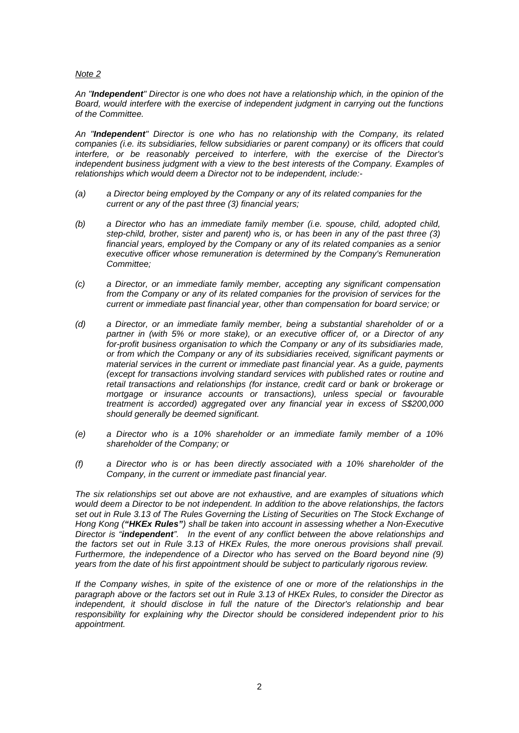## *Note 2*

*An "Independent" Director is one who does not have a relationship which, in the opinion of the Board, would interfere with the exercise of independent judgment in carrying out the functions of the Committee.*

*An "Independent" Director is one who has no relationship with the Company, its related companies (i.e. its subsidiaries, fellow subsidiaries or parent company) or its officers that could interfere, or be reasonably perceived to interfere, with the exercise of the Director's independent business judgment with a view to the best interests of the Company. Examples of relationships which would deem a Director not to be independent, include:-*

- *(a) a Director being employed by the Company or any of its related companies for the current or any of the past three (3) financial years;*
- *(b) a Director who has an immediate family member (i.e. spouse, child, adopted child, step-child, brother, sister and parent) who is, or has been in any of the past three (3) financial years, employed by the Company or any of its related companies as a senior executive officer whose remuneration is determined by the Company's Remuneration Committee;*
- *(c) a Director, or an immediate family member, accepting any significant compensation from the Company or any of its related companies for the provision of services for the current or immediate past financial year, other than compensation for board service; or*
- *(d) a Director, or an immediate family member, being a substantial shareholder of or a partner in (with 5% or more stake), or an executive officer of, or a Director of any for-profit business organisation to which the Company or any of its subsidiaries made, or from which the Company or any of its subsidiaries received, significant payments or material services in the current or immediate past financial year. As a guide, payments (except for transactions involving standard services with published rates or routine and retail transactions and relationships (for instance, credit card or bank or brokerage or mortgage or insurance accounts or transactions), unless special or favourable treatment is accorded) aggregated over any financial year in excess of S\$200,000 should generally be deemed significant.*
- *(e) a Director who is a 10% shareholder or an immediate family member of a 10% shareholder of the Company; or*
- *(f) a Director who is or has been directly associated with a 10% shareholder of the Company, in the current or immediate past financial year.*

*The six relationships set out above are not exhaustive, and are examples of situations which would deem a Director to be not independent. In addition to the above relationships, the factors set out in Rule 3.13 of The Rules Governing the Listing of Securities on The Stock Exchange of Hong Kong ("HKEx Rules") shall be taken into account in assessing whether a Non-Executive Director is "independent". In the event of any conflict between the above relationships and the factors set out in Rule 3.13 of HKEx Rules, the more onerous provisions shall prevail. Furthermore, the independence of a Director who has served on the Board beyond nine (9) years from the date of his first appointment should be subject to particularly rigorous review.*

*If the Company wishes, in spite of the existence of one or more of the relationships in the paragraph above or the factors set out in Rule 3.13 of HKEx Rules, to consider the Director as independent, it should disclose in full the nature of the Director's relationship and bear responsibility for explaining why the Director should be considered independent prior to his appointment.*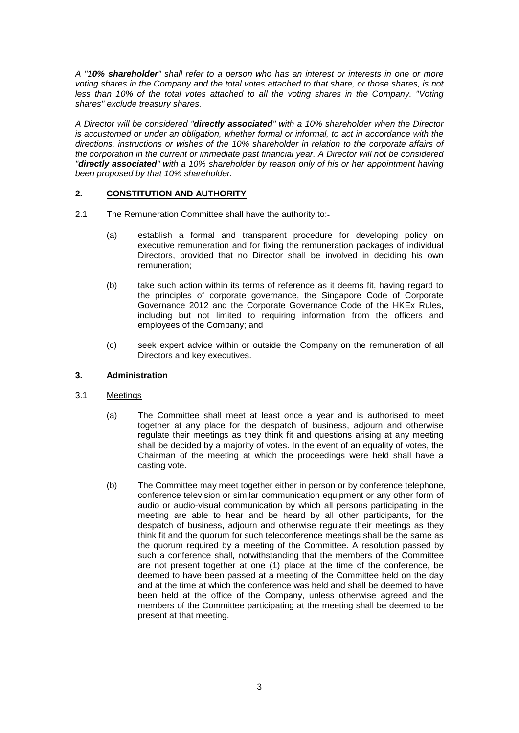*A "10% shareholder" shall refer to a person who has an interest or interests in one or more voting shares in the Company and the total votes attached to that share, or those shares, is not less than 10% of the total votes attached to all the voting shares in the Company. "Voting shares" exclude treasury shares.*

*A Director will be considered "directly associated" with a 10% shareholder when the Director is accustomed or under an obligation, whether formal or informal, to act in accordance with the directions, instructions or wishes of the 10% shareholder in relation to the corporate affairs of the corporation in the current or immediate past financial year. A Director will not be considered "directly associated" with a 10% shareholder by reason only of his or her appointment having been proposed by that 10% shareholder.*

## **2. CONSTITUTION AND AUTHORITY**

- 2.1 The Remuneration Committee shall have the authority to:-
	- (a) establish a formal and transparent procedure for developing policy on executive remuneration and for fixing the remuneration packages of individual Directors, provided that no Director shall be involved in deciding his own remuneration;
	- (b) take such action within its terms of reference as it deems fit, having regard to the principles of corporate governance, the Singapore Code of Corporate Governance 2012 and the Corporate Governance Code of the HKEx Rules, including but not limited to requiring information from the officers and employees of the Company; and
	- (c) seek expert advice within or outside the Company on the remuneration of all Directors and key executives.

## **3. Administration**

### 3.1 Meetings

- (a) The Committee shall meet at least once a year and is authorised to meet together at any place for the despatch of business, adjourn and otherwise regulate their meetings as they think fit and questions arising at any meeting shall be decided by a majority of votes. In the event of an equality of votes, the Chairman of the meeting at which the proceedings were held shall have a casting vote.
- (b) The Committee may meet together either in person or by conference telephone, conference television or similar communication equipment or any other form of audio or audio-visual communication by which all persons participating in the meeting are able to hear and be heard by all other participants, for the despatch of business, adjourn and otherwise regulate their meetings as they think fit and the quorum for such teleconference meetings shall be the same as the quorum required by a meeting of the Committee. A resolution passed by such a conference shall, notwithstanding that the members of the Committee are not present together at one (1) place at the time of the conference, be deemed to have been passed at a meeting of the Committee held on the day and at the time at which the conference was held and shall be deemed to have been held at the office of the Company, unless otherwise agreed and the members of the Committee participating at the meeting shall be deemed to be present at that meeting.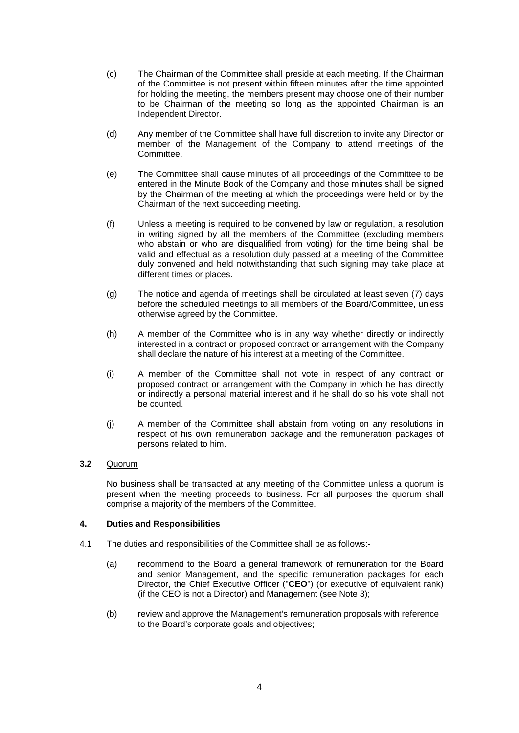- (c) The Chairman of the Committee shall preside at each meeting. If the Chairman of the Committee is not present within fifteen minutes after the time appointed for holding the meeting, the members present may choose one of their number to be Chairman of the meeting so long as the appointed Chairman is an Independent Director.
- (d) Any member of the Committee shall have full discretion to invite any Director or member of the Management of the Company to attend meetings of the Committee.
- (e) The Committee shall cause minutes of all proceedings of the Committee to be entered in the Minute Book of the Company and those minutes shall be signed by the Chairman of the meeting at which the proceedings were held or by the Chairman of the next succeeding meeting.
- (f) Unless a meeting is required to be convened by law or regulation, a resolution in writing signed by all the members of the Committee (excluding members who abstain or who are disqualified from voting) for the time being shall be valid and effectual as a resolution duly passed at a meeting of the Committee duly convened and held notwithstanding that such signing may take place at different times or places.
- (g) The notice and agenda of meetings shall be circulated at least seven (7) days before the scheduled meetings to all members of the Board/Committee, unless otherwise agreed by the Committee.
- (h) A member of the Committee who is in any way whether directly or indirectly interested in a contract or proposed contract or arrangement with the Company shall declare the nature of his interest at a meeting of the Committee.
- (i) A member of the Committee shall not vote in respect of any contract or proposed contract or arrangement with the Company in which he has directly or indirectly a personal material interest and if he shall do so his vote shall not be counted.
- (j) A member of the Committee shall abstain from voting on any resolutions in respect of his own remuneration package and the remuneration packages of persons related to him.

# **3.2** Quorum

No business shall be transacted at any meeting of the Committee unless a quorum is present when the meeting proceeds to business. For all purposes the quorum shall comprise a majority of the members of the Committee.

## **4. Duties and Responsibilities**

- 4.1 The duties and responsibilities of the Committee shall be as follows:-
	- (a) recommend to the Board a general framework of remuneration for the Board and senior Management, and the specific remuneration packages for each Director, the Chief Executive Officer ("**CEO**") (or executive of equivalent rank) (if the CEO is not a Director) and Management (see Note 3);
	- (b) review and approve the Management's remuneration proposals with reference to the Board's corporate goals and objectives;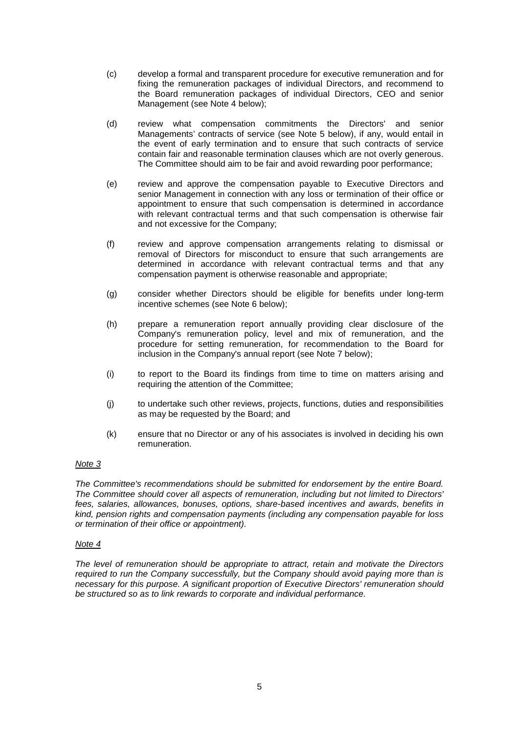- (c) develop a formal and transparent procedure for executive remuneration and for fixing the remuneration packages of individual Directors, and recommend to the Board remuneration packages of individual Directors, CEO and senior Management (see Note 4 below);
- (d) review what compensation commitments the Directors' and senior Managements' contracts of service (see Note 5 below), if any, would entail in the event of early termination and to ensure that such contracts of service contain fair and reasonable termination clauses which are not overly generous. The Committee should aim to be fair and avoid rewarding poor performance;
- (e) review and approve the compensation payable to Executive Directors and senior Management in connection with any loss or termination of their office or appointment to ensure that such compensation is determined in accordance with relevant contractual terms and that such compensation is otherwise fair and not excessive for the Company;
- (f) review and approve compensation arrangements relating to dismissal or removal of Directors for misconduct to ensure that such arrangements are determined in accordance with relevant contractual terms and that any compensation payment is otherwise reasonable and appropriate;
- (g) consider whether Directors should be eligible for benefits under long-term incentive schemes (see Note 6 below);
- (h) prepare a remuneration report annually providing clear disclosure of the Company's remuneration policy, level and mix of remuneration, and the procedure for setting remuneration, for recommendation to the Board for inclusion in the Company's annual report (see Note 7 below);
- (i) to report to the Board its findings from time to time on matters arising and requiring the attention of the Committee;
- (j) to undertake such other reviews, projects, functions, duties and responsibilities as may be requested by the Board; and
- (k) ensure that no Director or any of his associates is involved in deciding his own remuneration.

## *Note 3*

*The Committee's recommendations should be submitted for endorsement by the entire Board. The Committee should cover all aspects of remuneration, including but not limited to Directors' fees, salaries, allowances, bonuses, options, share-based incentives and awards, benefits in kind, pension rights and compensation payments (including any compensation payable for loss or termination of their office or appointment).*

### *Note 4*

*The level of remuneration should be appropriate to attract, retain and motivate the Directors required to run the Company successfully, but the Company should avoid paying more than is necessary for this purpose. A significant proportion of Executive Directors' remuneration should be structured so as to link rewards to corporate and individual performance.*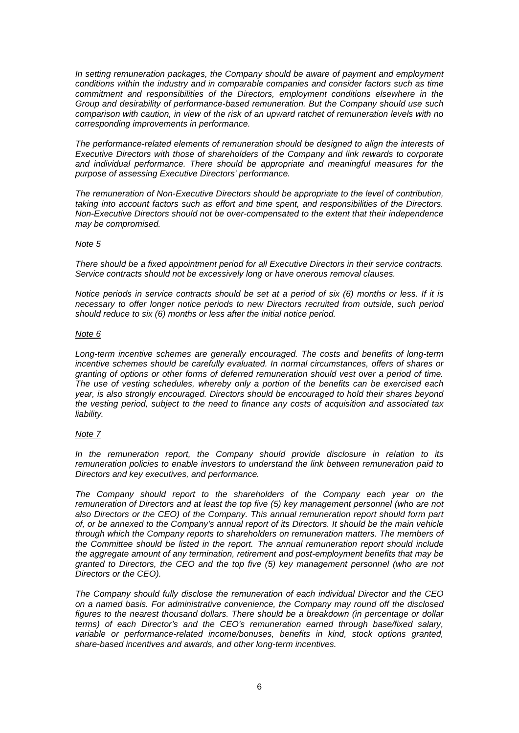*In setting remuneration packages, the Company should be aware of payment and employment conditions within the industry and in comparable companies and consider factors such as time commitment and responsibilities of the Directors, employment conditions elsewhere in the Group and desirability of performance-based remuneration. But the Company should use such comparison with caution, in view of the risk of an upward ratchet of remuneration levels with no corresponding improvements in performance.*

*The performance-related elements of remuneration should be designed to align the interests of Executive Directors with those of shareholders of the Company and link rewards to corporate and individual performance. There should be appropriate and meaningful measures for the purpose of assessing Executive Directors' performance.*

*The remuneration of Non-Executive Directors should be appropriate to the level of contribution, taking into account factors such as effort and time spent, and responsibilities of the Directors. Non-Executive Directors should not be over-compensated to the extent that their independence may be compromised.*

### *Note 5*

*There should be a fixed appointment period for all Executive Directors in their service contracts. Service contracts should not be excessively long or have onerous removal clauses.*

*Notice periods in service contracts should be set at a period of six (6) months or less. If it is necessary to offer longer notice periods to new Directors recruited from outside, such period should reduce to six (6) months or less after the initial notice period.*

## *Note 6*

*Long-term incentive schemes are generally encouraged. The costs and benefits of long-term incentive schemes should be carefully evaluated. In normal circumstances, offers of shares or granting of options or other forms of deferred remuneration should vest over a period of time. The use of vesting schedules, whereby only a portion of the benefits can be exercised each year, is also strongly encouraged. Directors should be encouraged to hold their shares beyond the vesting period, subject to the need to finance any costs of acquisition and associated tax liability.*

## *Note 7*

*In the remuneration report, the Company should provide disclosure in relation to its remuneration policies to enable investors to understand the link between remuneration paid to Directors and key executives, and performance.*

*The Company should report to the shareholders of the Company each year on the remuneration of Directors and at least the top five (5) key management personnel (who are not also Directors or the CEO) of the Company. This annual remuneration report should form part of, or be annexed to the Company's annual report of its Directors. It should be the main vehicle through which the Company reports to shareholders on remuneration matters. The members of the Committee should be listed in the report. The annual remuneration report should include the aggregate amount of any termination, retirement and post-employment benefits that may be granted to Directors, the CEO and the top five (5) key management personnel (who are not Directors or the CEO).*

*The Company should fully disclose the remuneration of each individual Director and the CEO on a named basis. For administrative convenience, the Company may round off the disclosed figures to the nearest thousand dollars. There should be a breakdown (in percentage or dollar terms) of each Director's and the CEO's remuneration earned through base/fixed salary, variable or performance-related income/bonuses, benefits in kind, stock options granted, share-based incentives and awards, and other long-term incentives.*